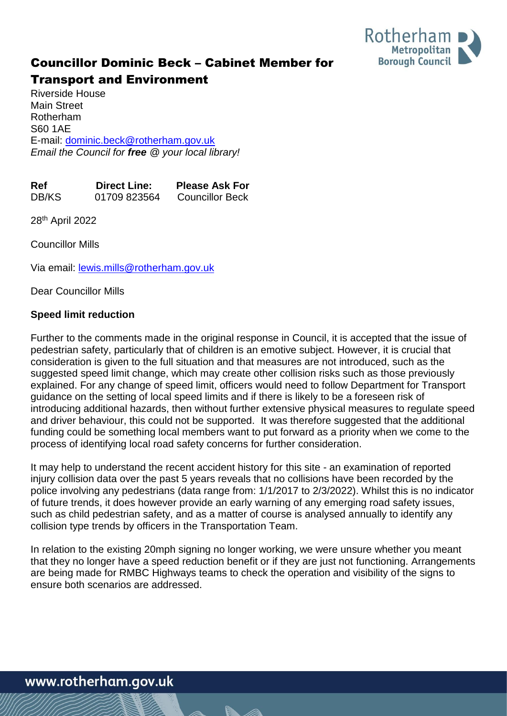

## Councillor Dominic Beck – Cabinet Member for

## Transport and Environment

Riverside House Main Street Rotherham S60 1AE E-mail: [dominic.beck@rotherham.gov.uk](mailto:dominic.beck@rotherham.gov.uk) *Email the Council for free @ your local library!*

| <b>Ref</b> | <b>Direct Line:</b> | <b>Please Ask For</b>  |
|------------|---------------------|------------------------|
| DB/KS      | 01709 823564        | <b>Councillor Beck</b> |

28th April 2022

Councillor Mills

Via email: **lewis.mills@rotherham.gov.uk** 

Dear Councillor Mills

## **Speed limit reduction**

Further to the comments made in the original response in Council, it is accepted that the issue of pedestrian safety, particularly that of children is an emotive subject. However, it is crucial that consideration is given to the full situation and that measures are not introduced, such as the suggested speed limit change, which may create other collision risks such as those previously explained. For any change of speed limit, officers would need to follow Department for Transport guidance on the setting of local speed limits and if there is likely to be a foreseen risk of introducing additional hazards, then without further extensive physical measures to regulate speed and driver behaviour, this could not be supported. It was therefore suggested that the additional funding could be something local members want to put forward as a priority when we come to the process of identifying local road safety concerns for further consideration.

It may help to understand the recent accident history for this site - an examination of reported injury collision data over the past 5 years reveals that no collisions have been recorded by the police involving any pedestrians (data range from: 1/1/2017 to 2/3/2022). Whilst this is no indicator of future trends, it does however provide an early warning of any emerging road safety issues, such as child pedestrian safety, and as a matter of course is analysed annually to identify any collision type trends by officers in the Transportation Team.

In relation to the existing 20mph signing no longer working, we were unsure whether you meant that they no longer have a speed reduction benefit or if they are just not functioning. Arrangements are being made for RMBC Highways teams to check the operation and visibility of the signs to ensure both scenarios are addressed.

www.rotherham.gov.uk